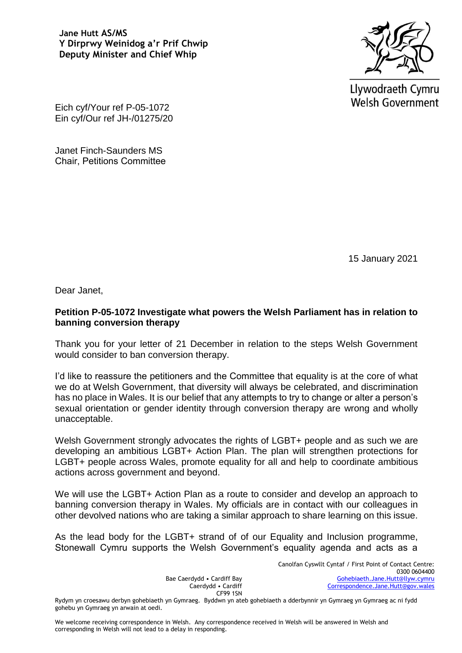**Jane Hutt AS/MS Y Dirprwy Weinidog a'r Prif Chwip Deputy Minister and Chief Whip**



Llywodraeth Cymru **Welsh Government** 

Eich cyf/Your ref P-05-1072 Ein cyf/Our ref JH-/01275/20

Janet Finch-Saunders MS Chair, Petitions Committee

15 January 2021

Dear Janet,

## **Petition P-05-1072 Investigate what powers the Welsh Parliament has in relation to banning conversion therapy**

Thank you for your letter of 21 December in relation to the steps Welsh Government would consider to ban conversion therapy.

I'd like to reassure the petitioners and the Committee that equality is at the core of what we do at Welsh Government, that diversity will always be celebrated, and discrimination has no place in Wales. It is our belief that any attempts to try to change or alter a person's sexual orientation or gender identity through conversion therapy are wrong and wholly unacceptable.

Welsh Government strongly advocates the rights of LGBT+ people and as such we are developing an ambitious LGBT+ Action Plan. The plan will strengthen protections for LGBT+ people across Wales, promote equality for all and help to coordinate ambitious actions across government and beyond.

We will use the LGBT+ Action Plan as a route to consider and develop an approach to banning conversion therapy in Wales. My officials are in contact with our colleagues in other devolved nations who are taking a similar approach to share learning on this issue.

As the lead body for the LGBT+ strand of of our Equality and Inclusion programme, Stonewall Cymru supports the Welsh Government's equality agenda and acts as a

> Canolfan Cyswllt Cyntaf / First Point of Contact Centre: 0300 0604400 [Gohebiaeth.Jane.Hutt@llyw.cymru](mailto:Gohebiaeth.Jane.Hutt@llyw.cymru) [Correspondence.Jane.Hutt@gov.wales](mailto:Correspondence.Jane.Hutt@gov.wales)

CF99 1SN Rydym yn croesawu derbyn gohebiaeth yn Gymraeg. Byddwn yn ateb gohebiaeth a dderbynnir yn Gymraeg yn Gymraeg ac ni fydd gohebu yn Gymraeg yn arwain at oedi.

Bae Caerdydd • Cardiff Bay Caerdydd • Cardiff